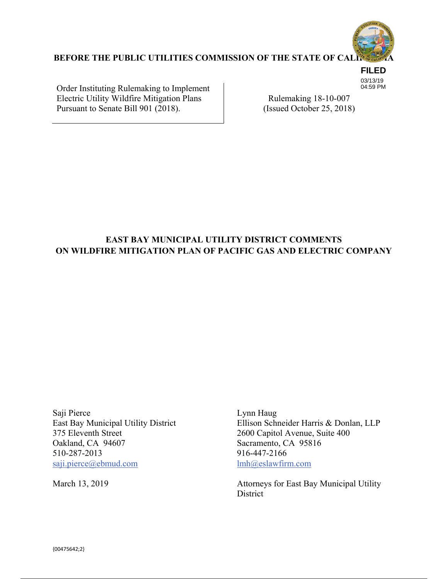

**FILED** 03/13/19 04:59 PM

## **BEFORE THE PUBLIC UTILITIES COMMISSION OF THE STATE OF CAL**

Order Instituting Rulemaking to Implement Electric Utility Wildfire Mitigation Plans Pursuant to Senate Bill 901 (2018).

Rulemaking 18-10-007 (Issued October 25, 2018)

## **EAST BAY MUNICIPAL UTILITY DISTRICT COMMENTS ON WILDFIRE MITIGATION PLAN OF PACIFIC GAS AND ELECTRIC COMPANY**

Saji Pierce<br>
East Bay Municipal Utility District<br>
Ellison Sch 375 Eleventh Street 2600 Capitol Avenue, Suite 400 Oakland, CA 94607 Sacramento, CA 95816 510-287-2013 916-447-2166 saji.pierce@ebmud.com lmh@eslawfirm.com

Ellison Schneider Harris & Donlan, LLP

March 13, 2019 Attorneys for East Bay Municipal Utility **District**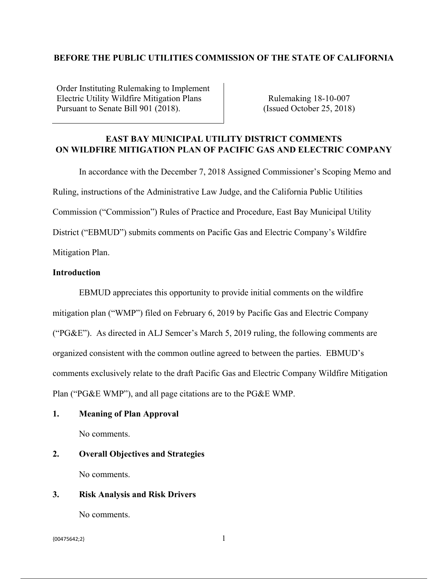## **BEFORE THE PUBLIC UTILITIES COMMISSION OF THE STATE OF CALIFORNIA**

Order Instituting Rulemaking to Implement Electric Utility Wildfire Mitigation Plans Pursuant to Senate Bill 901 (2018).

Rulemaking 18-10-007 (Issued October 25, 2018)

## **EAST BAY MUNICIPAL UTILITY DISTRICT COMMENTS ON WILDFIRE MITIGATION PLAN OF PACIFIC GAS AND ELECTRIC COMPANY**

In accordance with the December 7, 2018 Assigned Commissioner's Scoping Memo and Ruling, instructions of the Administrative Law Judge, and the California Public Utilities Commission ("Commission") Rules of Practice and Procedure, East Bay Municipal Utility District ("EBMUD") submits comments on Pacific Gas and Electric Company's Wildfire Mitigation Plan.

#### **Introduction**

 EBMUD appreciates this opportunity to provide initial comments on the wildfire mitigation plan ("WMP") filed on February 6, 2019 by Pacific Gas and Electric Company ("PG&E"). As directed in ALJ Semcer's March 5, 2019 ruling, the following comments are organized consistent with the common outline agreed to between the parties. EBMUD's comments exclusively relate to the draft Pacific Gas and Electric Company Wildfire Mitigation Plan ("PG&E WMP"), and all page citations are to the PG&E WMP.

## **1. Meaning of Plan Approval**

No comments.

# **2. Overall Objectives and Strategies**

No comments.

## **3. Risk Analysis and Risk Drivers**

No comments.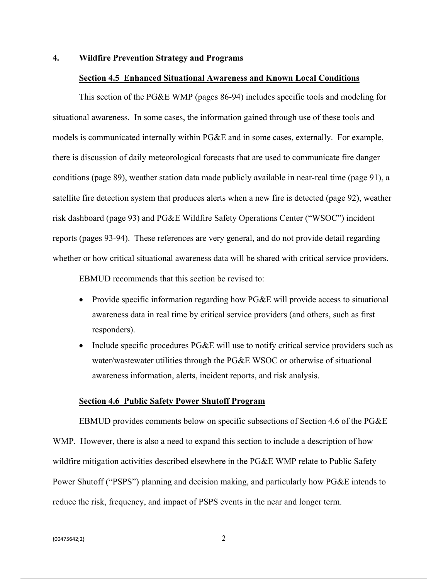#### **4. Wildfire Prevention Strategy and Programs**

#### **Section 4.5 Enhanced Situational Awareness and Known Local Conditions**

This section of the PG&E WMP (pages 86-94) includes specific tools and modeling for situational awareness. In some cases, the information gained through use of these tools and models is communicated internally within PG&E and in some cases, externally. For example, there is discussion of daily meteorological forecasts that are used to communicate fire danger conditions (page 89), weather station data made publicly available in near-real time (page 91), a satellite fire detection system that produces alerts when a new fire is detected (page 92), weather risk dashboard (page 93) and PG&E Wildfire Safety Operations Center ("WSOC") incident reports (pages 93-94). These references are very general, and do not provide detail regarding whether or how critical situational awareness data will be shared with critical service providers.

EBMUD recommends that this section be revised to:

- Provide specific information regarding how PG&E will provide access to situational awareness data in real time by critical service providers (and others, such as first responders).
- Include specific procedures PG&E will use to notify critical service providers such as water/wastewater utilities through the PG&E WSOC or otherwise of situational awareness information, alerts, incident reports, and risk analysis.

#### **Section 4.6 Public Safety Power Shutoff Program**

 EBMUD provides comments below on specific subsections of Section 4.6 of the PG&E WMP. However, there is also a need to expand this section to include a description of how wildfire mitigation activities described elsewhere in the PG&E WMP relate to Public Safety Power Shutoff ("PSPS") planning and decision making, and particularly how PG&E intends to reduce the risk, frequency, and impact of PSPS events in the near and longer term.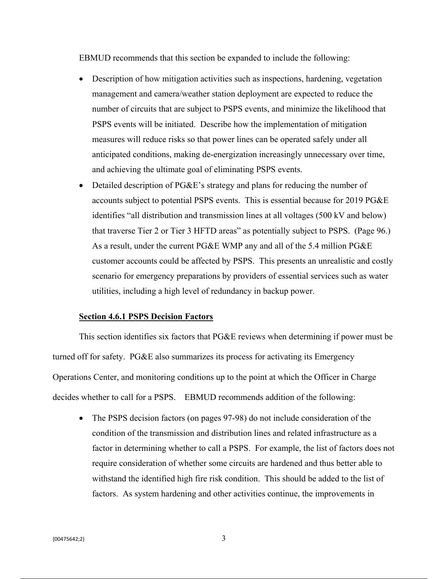EBMUD recommends that this section be expanded to include the following:

- Description of how mitigation activities such as inspections, hardening, vegetation management and camera/weather station deployment are expected to reduce the number of circuits that are subject to PSPS events, and minimize the likelihood that PSPS events will be initiated. Describe how the implementation of mitigation measures will reduce risks so that power lines can be operated safely under all anticipated conditions, making de-energization increasingly unnecessary over time, and achieving the ultimate goal of eliminating PSPS events.
- Detailed description of PG&E's strategy and plans for reducing the number of accounts subject to potential PSPS events. This is essential because for 2019 PG&E identifies "all distribution and transmission lines at all voltages (500 kV and below) that traverse Tier 2 or Tier 3 HFTD areas" as potentially subject to PSPS. (Page 96.) As a result, under the current PG&E WMP any and all of the 5.4 million PG&E customer accounts could be affected by PSPS. This presents an unrealistic and costly scenario for emergency preparations by providers of essential services such as water utilities, including a high level of redundancy in backup power.

#### **Section 4.6.1 PSPS Decision Factors**

 This section identifies six factors that PG&E reviews when determining if power must be turned off for safety. PG&E also summarizes its process for activating its Emergency Operations Center, and monitoring conditions up to the point at which the Officer in Charge decides whether to call for a PSPS. EBMUD recommends addition of the following:

• The PSPS decision factors (on pages 97-98) do not include consideration of the condition of the transmission and distribution lines and related infrastructure as a factor in determining whether to call a PSPS. For example, the list of factors does not require consideration of whether some circuits are hardened and thus better able to withstand the identified high fire risk condition. This should be added to the list of factors. As system hardening and other activities continue, the improvements in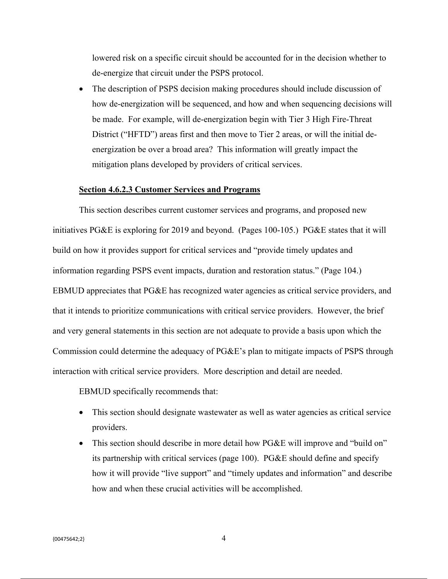lowered risk on a specific circuit should be accounted for in the decision whether to de-energize that circuit under the PSPS protocol.

• The description of PSPS decision making procedures should include discussion of how de-energization will be sequenced, and how and when sequencing decisions will be made. For example, will de-energization begin with Tier 3 High Fire-Threat District ("HFTD") areas first and then move to Tier 2 areas, or will the initial deenergization be over a broad area? This information will greatly impact the mitigation plans developed by providers of critical services.

#### **Section 4.6.2.3 Customer Services and Programs**

 This section describes current customer services and programs, and proposed new initiatives PG&E is exploring for 2019 and beyond. (Pages 100-105.) PG&E states that it will build on how it provides support for critical services and "provide timely updates and information regarding PSPS event impacts, duration and restoration status." (Page 104.) EBMUD appreciates that PG&E has recognized water agencies as critical service providers, and that it intends to prioritize communications with critical service providers. However, the brief and very general statements in this section are not adequate to provide a basis upon which the Commission could determine the adequacy of PG&E's plan to mitigate impacts of PSPS through interaction with critical service providers. More description and detail are needed.

EBMUD specifically recommends that:

- This section should designate wastewater as well as water agencies as critical service providers.
- This section should describe in more detail how PG&E will improve and "build on" its partnership with critical services (page 100). PG&E should define and specify how it will provide "live support" and "timely updates and information" and describe how and when these crucial activities will be accomplished.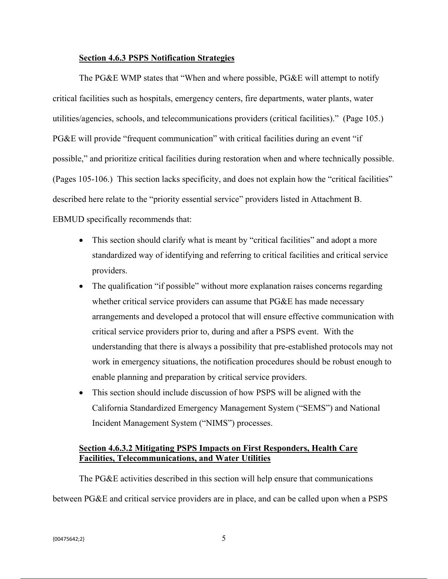#### **Section 4.6.3 PSPS Notification Strategies**

 The PG&E WMP states that "When and where possible, PG&E will attempt to notify critical facilities such as hospitals, emergency centers, fire departments, water plants, water utilities/agencies, schools, and telecommunications providers (critical facilities)." (Page 105.) PG&E will provide "frequent communication" with critical facilities during an event "if possible," and prioritize critical facilities during restoration when and where technically possible. (Pages 105-106.) This section lacks specificity, and does not explain how the "critical facilities" described here relate to the "priority essential service" providers listed in Attachment B. EBMUD specifically recommends that:

- This section should clarify what is meant by "critical facilities" and adopt a more standardized way of identifying and referring to critical facilities and critical service providers.
- The qualification "if possible" without more explanation raises concerns regarding whether critical service providers can assume that PG&E has made necessary arrangements and developed a protocol that will ensure effective communication with critical service providers prior to, during and after a PSPS event. With the understanding that there is always a possibility that pre-established protocols may not work in emergency situations, the notification procedures should be robust enough to enable planning and preparation by critical service providers.
- This section should include discussion of how PSPS will be aligned with the California Standardized Emergency Management System ("SEMS") and National Incident Management System ("NIMS") processes.

## **Section 4.6.3.2 Mitigating PSPS Impacts on First Responders, Health Care Facilities, Telecommunications, and Water Utilities**

 The PG&E activities described in this section will help ensure that communications between PG&E and critical service providers are in place, and can be called upon when a PSPS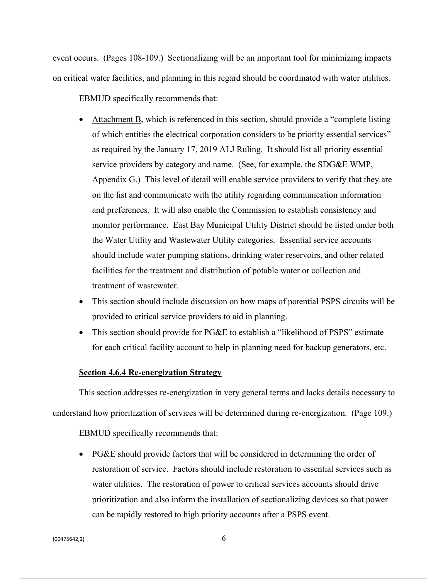event occurs. (Pages 108-109.) Sectionalizing will be an important tool for minimizing impacts on critical water facilities, and planning in this regard should be coordinated with water utilities.

EBMUD specifically recommends that:

- Attachment B, which is referenced in this section, should provide a "complete listing of which entities the electrical corporation considers to be priority essential services" as required by the January 17, 2019 ALJ Ruling. It should list all priority essential service providers by category and name. (See, for example, the SDG&E WMP, Appendix G.) This level of detail will enable service providers to verify that they are on the list and communicate with the utility regarding communication information and preferences. It will also enable the Commission to establish consistency and monitor performance. East Bay Municipal Utility District should be listed under both the Water Utility and Wastewater Utility categories. Essential service accounts should include water pumping stations, drinking water reservoirs, and other related facilities for the treatment and distribution of potable water or collection and treatment of wastewater.
- This section should include discussion on how maps of potential PSPS circuits will be provided to critical service providers to aid in planning.
- This section should provide for PG&E to establish a "likelihood of PSPS" estimate for each critical facility account to help in planning need for backup generators, etc.

#### **Section 4.6.4 Re-energization Strategy**

 This section addresses re-energization in very general terms and lacks details necessary to understand how prioritization of services will be determined during re-energization. (Page 109.)

EBMUD specifically recommends that:

• PG&E should provide factors that will be considered in determining the order of restoration of service. Factors should include restoration to essential services such as water utilities. The restoration of power to critical services accounts should drive prioritization and also inform the installation of sectionalizing devices so that power can be rapidly restored to high priority accounts after a PSPS event.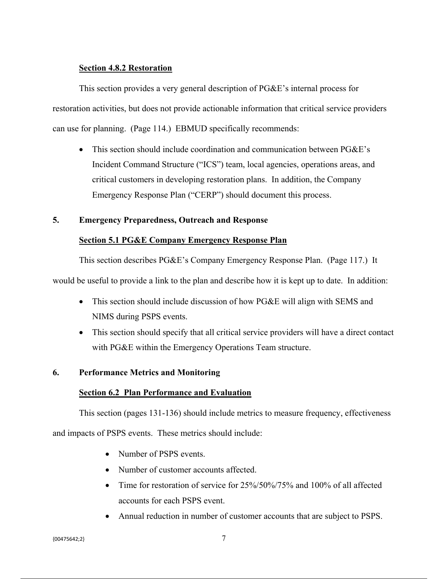## **Section 4.8.2 Restoration**

 This section provides a very general description of PG&E's internal process for restoration activities, but does not provide actionable information that critical service providers can use for planning. (Page 114.) EBMUD specifically recommends:

• This section should include coordination and communication between PG&E's Incident Command Structure ("ICS") team, local agencies, operations areas, and critical customers in developing restoration plans. In addition, the Company Emergency Response Plan ("CERP") should document this process.

## **5. Emergency Preparedness, Outreach and Response**

## **Section 5.1 PG&E Company Emergency Response Plan**

This section describes PG&E's Company Emergency Response Plan. (Page 117.) It

would be useful to provide a link to the plan and describe how it is kept up to date. In addition:

- This section should include discussion of how PG&E will align with SEMS and NIMS during PSPS events.
- This section should specify that all critical service providers will have a direct contact with PG&E within the Emergency Operations Team structure.

## **6. Performance Metrics and Monitoring**

## **Section 6.2 Plan Performance and Evaluation**

This section (pages 131-136) should include metrics to measure frequency, effectiveness

and impacts of PSPS events. These metrics should include:

- Number of PSPS events.
- Number of customer accounts affected.
- Time for restoration of service for 25%/50%/75% and 100% of all affected accounts for each PSPS event.
- Annual reduction in number of customer accounts that are subject to PSPS.